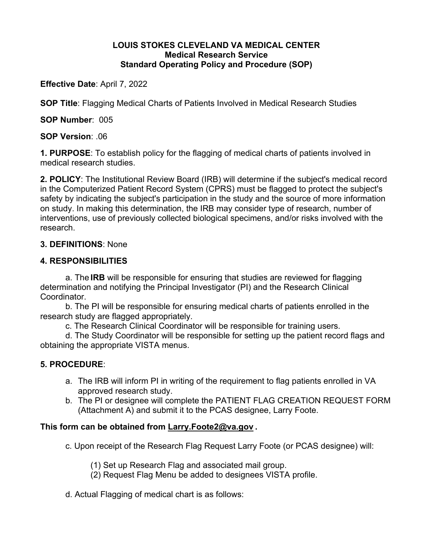#### **LOUIS STOKES CLEVELAND VA MEDICAL CENTER Medical Research Service Standard Operating Policy and Procedure (SOP)**

**Effective Date**: April 7, 2022

**SOP Title**: Flagging Medical Charts of Patients Involved in Medical Research Studies

**SOP Number**: 005

**SOP Version**: .06

**1. PURPOSE**: To establish policy for the flagging of medical charts of patients involved in medical research studies.

**2. POLICY**: The Institutional Review Board (IRB) will determine if the subject's medical record in the Computerized Patient Record System (CPRS) must be flagged to protect the subject's safety by indicating the subject's participation in the study and the source of more information on study. In making this determination, the IRB may consider type of research, number of interventions, use of previously collected biological specimens, and/or risks involved with the research.

## **3. DEFINITIONS**: None

## **4. RESPONSIBILITIES**

 a. The **IRB** will be responsible for ensuring that studies are reviewed for flagging determination and notifying the Principal Investigator (PI) and the Research Clinical Coordinator.

 b. The PI will be responsible for ensuring medical charts of patients enrolled in the research study are flagged appropriately.

c. The Research Clinical Coordinator will be responsible for training users.

 d. The Study Coordinator will be responsible for setting up the patient record flags and obtaining the appropriate VISTA menus.

# **5. PROCEDURE**:

- a. The IRB will inform PI in writing of the requirement to flag patients enrolled in VA approved research study.
- b. The PI or designee will complete the PATIENT FLAG CREATION REQUEST FORM (Attachment A) and submit it to the PCAS designee, Larry Foote.

# **This form can be obtained from Larry.Foote2@va.gov .**

c. Upon receipt of the Research Flag Request Larry Foote (or PCAS designee) will:

(1) Set up Research Flag and associated mail group.

(2) Request Flag Menu be added to designees VISTA profile.

d. Actual Flagging of medical chart is as follows: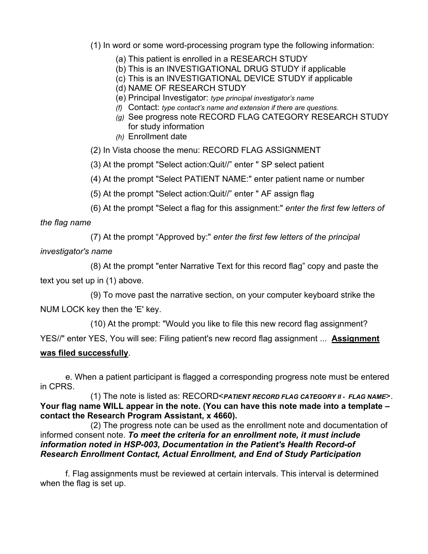(1) In word or some word-processing program type the following information:

- (a) This patient is enrolled in a RESEARCH STUDY
- (b) This is an INVESTIGATIONAL DRUG STUDY if applicable
- (c) This is an INVESTIGATIONAL DEVICE STUDY if applicable
- (d) NAME OF RESEARCH STUDY
- (e) Principal Investigator: *type principal investigator's name*
- *(f)* Contact: *type contact's name and extension if there are questions.*
- *(g)* See progress note RECORD FLAG CATEGORY RESEARCH STUDY for study information
- *(h)* Enrollment date
- (2) In Vista choose the menu: RECORD FLAG ASSIGNMENT
- (3) At the prompt "Select action:Quit//" enter " SP select patient
- (4) At the prompt "Select PATIENT NAME:" enter patient name or number
- (5) At the prompt "Select action:Quit//" enter " AF assign flag
- (6) At the prompt "Select a flag for this assignment:" *enter the first few letters of*

*the flag name* 

(7) At the prompt "Approved by:" *enter the first few letters of the principal* 

*investigator's name* 

 (8) At the prompt "enter Narrative Text for this record flag" copy and paste the text you set up in (1) above.

 (9) To move past the narrative section, on your computer keyboard strike the NUM LOCK key then the 'E' key.

(10) At the prompt: "Would you like to file this new record flag assignment?

YES//" enter YES, You will see: Filing patient's new record flag assignment ... **Assignment** 

#### **was filed successfully**.

 e. When a patient participant is flagged a corresponding progress note must be entered in CPRS.

 (1) The note is listed as: RECORD<*PATIENT RECORD FLAG CATEGORY II - FLAG NAME*>. **Your flag name WILL appear in the note. (You can have this note made into a template – contact the Research Program Assistant, x 4660).** 

 (2) The progress note can be used as the enrollment note and documentation of informed consent note. *To meet the criteria for an enrollment note, it must include information noted in HSP-003, Documentation in the Patient's Health Record-of Research Enrollment Contact, Actual Enrollment, and End of Study Participation* 

 f. Flag assignments must be reviewed at certain intervals. This interval is determined when the flag is set up.